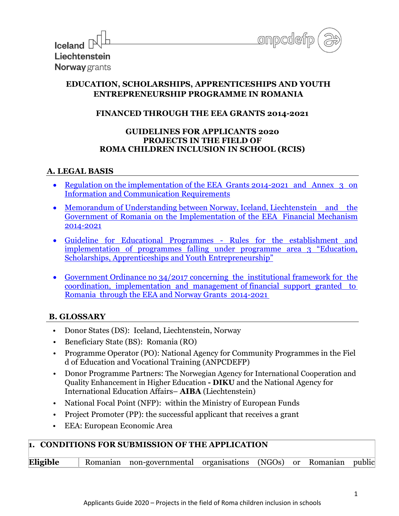

| $\frac{1}{2}$ local $\frac{1}{2}$ |
|-----------------------------------|
| Liechtenstein                     |
| <b>Norway</b> grants              |

# **EDUCATION, SCHOLARSHIPS, APPRENTICESHIPS AND YOUTH ENTREPRENEURSHIP PROGRAMME IN ROMANIA**

## **FINANCED THROUGH THE EEA GRANTS 2014-2021**

#### **GUIDELINES FOR APPLICANTS 2020 PROJECTS IN THE FIELD OF ROMA CHILDREN INCLUSION IN SCHOOL (RCIS)**

#### **A. LEGAL BASIS**

- Regulation on the implementation of the EEA Grants 2014-2021 and Annex 3 on [Information and Communication Requirements](https://eeagrants.org/resources/regulation-implementation-eea-grants-2014-2021)
- [Memorandum of Understanding between Norway, Iceland, Liechtenstein and the](https://eeagrants.org/resources/romania-memorandum-understanding-eea-grants-2014-2021)  [Government of Romania on the Implementation of the EEA Financial Mechanism](https://eeagrants.org/resources/romania-memorandum-understanding-eea-grants-2014-2021)  [2014-2021](https://eeagrants.org/resources/romania-memorandum-understanding-eea-grants-2014-2021)
- [Guideline for Educational Programmes Rules for the establishment and](https://eeagrants.org/resources/2014-2021-guideline-educational-programmes)  [implementation of programmes falling under programme area 3 "Education,](https://eeagrants.org/resources/2014-2021-guideline-educational-programmes)  [Scholarships, Apprenticeships and Youth En](https://eeagrants.org/resources/2014-2021-guideline-educational-programmes)trepreneurship"
- [Government Ordinance no 34/2017 concerning the institutional framework for the](https://www.eeagrants.ro/files/upload-dir/59-oug---34-2017-cu-modif-31102017.pdf)  [coordination, implementation and management of financial support granted to](https://www.eeagrants.ro/files/upload-dir/59-oug---34-2017-cu-modif-31102017.pdf)  [Romania through the EEA and Norway Grants 2014-2021](https://www.eeagrants.ro/files/upload-dir/59-oug---34-2017-cu-modif-31102017.pdf)

# **B. GLOSSARY**

- Donor States (DS): Iceland, Liechtenstein, Norway
- Beneficiary State (BS): Romania (RO)
- Programme Operator (PO): National Agency for Community Programmes in the Fiel d of Education and Vocational Training (ANPCDEFP)
- Donor Programme Partners: The Norwegian Agency for International Cooperation and Quality Enhancement in Higher Education **- DIKU** and the National Agency for International Education Affairs– **AIBA** (Liechtenstein)
- National Focal Point (NFP): within the [Ministry of European Funds](http://www.mdrap.gov.ro/)
- Project Promoter (PP): the successful applicant that receives a grant
- EEA: European Economic Area

# **1. CONDITIONS FOR SUBMISSION OF THE APPLICATION**

| Eligible | Romanian non-governmental organisations (NGOs) or Romanian public |  |  |  |  |  |
|----------|-------------------------------------------------------------------|--|--|--|--|--|
|----------|-------------------------------------------------------------------|--|--|--|--|--|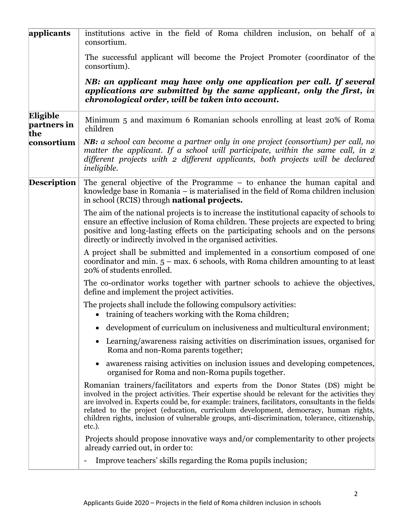| applicants                     | institutions active in the field of Roma children inclusion, on behalf of a<br>consortium.                                                                                                                                                                                                                                                                                                                                                                                              |  |  |  |  |  |  |
|--------------------------------|-----------------------------------------------------------------------------------------------------------------------------------------------------------------------------------------------------------------------------------------------------------------------------------------------------------------------------------------------------------------------------------------------------------------------------------------------------------------------------------------|--|--|--|--|--|--|
|                                | The successful applicant will become the Project Promoter (coordinator of the<br>consortium).                                                                                                                                                                                                                                                                                                                                                                                           |  |  |  |  |  |  |
|                                | NB: an applicant may have only one application per call. If several<br>applications are submitted by the same applicant, only the first, in<br>chronological order, will be taken into account.                                                                                                                                                                                                                                                                                         |  |  |  |  |  |  |
| Eligible<br>partners in<br>the | Minimum 5 and maximum 6 Romanian schools enrolling at least 20% of Roma<br>children                                                                                                                                                                                                                                                                                                                                                                                                     |  |  |  |  |  |  |
| consortium                     | <b>NB:</b> a school can become a partner only in one project (consortium) per call, no<br>matter the applicant. If a school will participate, within the same call, in $2$<br>different projects with 2 different applicants, both projects will be declared<br><i>ineligible.</i>                                                                                                                                                                                                      |  |  |  |  |  |  |
| <b>Description</b>             | The general objective of the Programme – to enhance the human capital and<br>knowledge base in Romania – is materialised in the field of Roma children inclusion<br>in school (RCIS) through <b>national projects.</b>                                                                                                                                                                                                                                                                  |  |  |  |  |  |  |
|                                | The aim of the national projects is to increase the institutional capacity of schools to<br>ensure an effective inclusion of Roma children. These projects are expected to bring<br>positive and long-lasting effects on the participating schools and on the persons<br>directly or indirectly involved in the organised activities.                                                                                                                                                   |  |  |  |  |  |  |
|                                | A project shall be submitted and implemented in a consortium composed of one<br>coordinator and min. $5$ – max. 6 schools, with Roma children amounting to at least<br>20% of students enrolled.                                                                                                                                                                                                                                                                                        |  |  |  |  |  |  |
|                                | The co-ordinator works together with partner schools to achieve the objectives,<br>define and implement the project activities.                                                                                                                                                                                                                                                                                                                                                         |  |  |  |  |  |  |
|                                | The projects shall include the following compulsory activities:<br>• training of teachers working with the Roma children;                                                                                                                                                                                                                                                                                                                                                               |  |  |  |  |  |  |
|                                | development of curriculum on inclusiveness and multicultural environment;                                                                                                                                                                                                                                                                                                                                                                                                               |  |  |  |  |  |  |
|                                | Learning/awareness raising activities on discrimination issues, organised for<br>$\bullet$<br>Roma and non-Roma parents together;                                                                                                                                                                                                                                                                                                                                                       |  |  |  |  |  |  |
|                                | awareness raising activities on inclusion issues and developing competences,<br>organised for Roma and non-Roma pupils together.                                                                                                                                                                                                                                                                                                                                                        |  |  |  |  |  |  |
|                                | Romanian trainers/facilitators and experts from the Donor States (DS) might be<br>involved in the project activities. Their expertise should be relevant for the activities they<br>are involved in. Experts could be, for example: trainers, facilitators, consultants in the fields<br>related to the project (education, curriculum development, democracy, human rights,<br>children rights, inclusion of vulnerable groups, anti-discrimination, tolerance, citizenship,<br>etc.). |  |  |  |  |  |  |
|                                | Projects should propose innovative ways and/or complementarity to other projects<br>already carried out, in order to:                                                                                                                                                                                                                                                                                                                                                                   |  |  |  |  |  |  |
|                                | Improve teachers' skills regarding the Roma pupils inclusion;                                                                                                                                                                                                                                                                                                                                                                                                                           |  |  |  |  |  |  |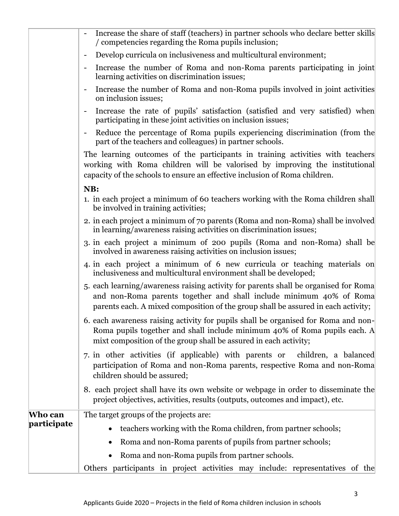|             | Increase the share of staff (teachers) in partner schools who declare better skills<br>/ competencies regarding the Roma pupils inclusion;                                                                                                      |
|-------------|-------------------------------------------------------------------------------------------------------------------------------------------------------------------------------------------------------------------------------------------------|
|             | Develop curricula on inclusiveness and multicultural environment;<br>$\blacksquare$                                                                                                                                                             |
|             | Increase the number of Roma and non-Roma parents participating in joint<br>$\blacksquare$<br>learning activities on discrimination issues;                                                                                                      |
|             | Increase the number of Roma and non-Roma pupils involved in joint activities<br>on inclusion issues;                                                                                                                                            |
|             | Increase the rate of pupils' satisfaction (satisfied and very satisfied) when<br>participating in these joint activities on inclusion issues;                                                                                                   |
|             | Reduce the percentage of Roma pupils experiencing discrimination (from the<br>part of the teachers and colleagues) in partner schools.                                                                                                          |
|             | The learning outcomes of the participants in training activities with teachers<br>working with Roma children will be valorised by improving the institutional<br>capacity of the schools to ensure an effective inclusion of Roma children.     |
|             | NB:                                                                                                                                                                                                                                             |
|             | 1. in each project a minimum of 60 teachers working with the Roma children shall<br>be involved in training activities;                                                                                                                         |
|             | 2. in each project a minimum of 70 parents (Roma and non-Roma) shall be involved<br>in learning/awareness raising activities on discrimination issues;                                                                                          |
|             | 3. in each project a minimum of 200 pupils (Roma and non-Roma) shall be<br>involved in awareness raising activities on inclusion issues;                                                                                                        |
|             | 4. in each project a minimum of 6 new curricula or teaching materials on<br>inclusiveness and multicultural environment shall be developed;                                                                                                     |
|             | 5. each learning/awareness raising activity for parents shall be organised for Roma<br>and non-Roma parents together and shall include minimum 40% of Roma<br>parents each. A mixed composition of the group shall be assured in each activity; |
|             | 6. each awareness raising activity for pupils shall be organised for Roma and non-<br>Roma pupils together and shall include minimum 40% of Roma pupils each. A<br>mixt composition of the group shall be assured in each activity;             |
|             | 7. in other activities (if applicable) with parents or children, a balanced<br>participation of Roma and non-Roma parents, respective Roma and non-Roma<br>children should be assured;                                                          |
|             | 8. each project shall have its own website or webpage in order to disseminate the<br>project objectives, activities, results (outputs, outcomes and impact), etc.                                                                               |
| Who can     | The target groups of the projects are:                                                                                                                                                                                                          |
| participate | teachers working with the Roma children, from partner schools;                                                                                                                                                                                  |
|             | Roma and non-Roma parents of pupils from partner schools;<br>$\bullet$                                                                                                                                                                          |
|             | Roma and non-Roma pupils from partner schools.<br>$\bullet$                                                                                                                                                                                     |
|             | Others participants in project activities may include: representatives of the                                                                                                                                                                   |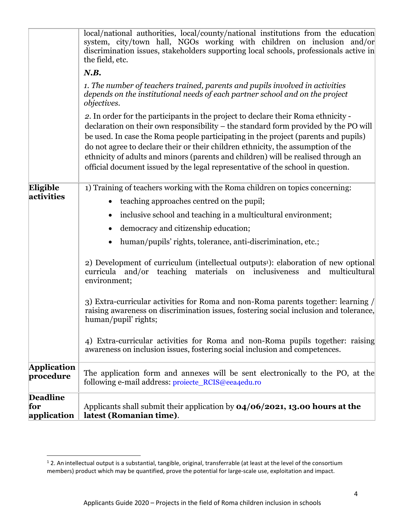|                                       | local/national authorities, local/county/national institutions from the education<br>system, city/town hall, NGOs working with children on inclusion and/or<br>discrimination issues, stakeholders supporting local schools, professionals active in<br>the field, etc.                                                                                                                                                                                                                                                    |
|---------------------------------------|----------------------------------------------------------------------------------------------------------------------------------------------------------------------------------------------------------------------------------------------------------------------------------------------------------------------------------------------------------------------------------------------------------------------------------------------------------------------------------------------------------------------------|
|                                       | N.B.                                                                                                                                                                                                                                                                                                                                                                                                                                                                                                                       |
|                                       | 1. The number of teachers trained, parents and pupils involved in activities<br>depends on the institutional needs of each partner school and on the project<br><i>objectives.</i>                                                                                                                                                                                                                                                                                                                                         |
|                                       | 2. In order for the participants in the project to declare their Roma ethnicity -<br>declaration on their own responsibility – the standard form provided by the PO will<br>be used. In case the Roma people participating in the project (parents and pupils)<br>do not agree to declare their or their children ethnicity, the assumption of the<br>ethnicity of adults and minors (parents and children) will be realised through an<br>official document issued by the legal representative of the school in question. |
| Eligible                              | 1) Training of teachers working with the Roma children on topics concerning:                                                                                                                                                                                                                                                                                                                                                                                                                                               |
| activities                            | teaching approaches centred on the pupil;<br>$\bullet$                                                                                                                                                                                                                                                                                                                                                                                                                                                                     |
|                                       | inclusive school and teaching in a multicultural environment;<br>$\bullet$                                                                                                                                                                                                                                                                                                                                                                                                                                                 |
|                                       | democracy and citizenship education;                                                                                                                                                                                                                                                                                                                                                                                                                                                                                       |
|                                       | human/pupils' rights, tolerance, anti-discrimination, etc.;                                                                                                                                                                                                                                                                                                                                                                                                                                                                |
|                                       | 2) Development of curriculum (intellectual outputs <sup>1</sup> ): elaboration of new optional<br>curricula and/or<br>teaching materials on inclusiveness<br>and<br>multicultural<br>environment;                                                                                                                                                                                                                                                                                                                          |
|                                       | 3) Extra-curricular activities for Roma and non-Roma parents together: learning /<br>raising awareness on discrimination issues, fostering social inclusion and tolerance,<br>human/pupil' rights;                                                                                                                                                                                                                                                                                                                         |
|                                       | 4) Extra-curricular activities for Roma and non-Roma pupils together: raising<br>awareness on inclusion issues, fostering social inclusion and competences.                                                                                                                                                                                                                                                                                                                                                                |
| <b>Application</b><br>procedure       | The application form and annexes will be sent electronically to the PO, at the<br>following e-mail address: projecte_RCIS@eea4edu.ro                                                                                                                                                                                                                                                                                                                                                                                       |
| <b>Deadline</b><br>for<br>application | Applicants shall submit their application by $04/06/2021$ , 13.00 hours at the<br>latest (Romanian time).                                                                                                                                                                                                                                                                                                                                                                                                                  |

 $1$  2. An intellectual output is a substantial, tangible, original, transferrable (at least at the level of the consortium members) product which may be quantified, prove the potential for large-scale use, exploitation and impact.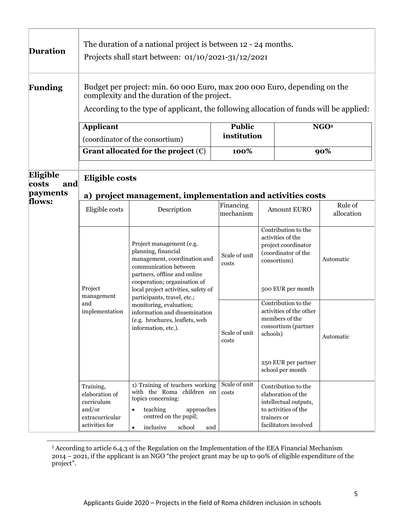| <b>Duration</b>                      | The duration of a national project is between 12 - 24 months.<br>Projects shall start between: $01/10/2021-31/12/2021$                                                                                            |                                                                                                                                                                                                                                                |                               |             |                                                                                                                                    |                         |  |
|--------------------------------------|-------------------------------------------------------------------------------------------------------------------------------------------------------------------------------------------------------------------|------------------------------------------------------------------------------------------------------------------------------------------------------------------------------------------------------------------------------------------------|-------------------------------|-------------|------------------------------------------------------------------------------------------------------------------------------------|-------------------------|--|
| Funding                              | Budget per project: min. 60 000 Euro, max 200 000 Euro, depending on the<br>complexity and the duration of the project.<br>According to the type of applicant, the following allocation of funds will be applied: |                                                                                                                                                                                                                                                |                               |             |                                                                                                                                    |                         |  |
|                                      | <b>Applicant</b>                                                                                                                                                                                                  | (coordinator of the consortium)<br>Grant allocated for the project $(\epsilon)$                                                                                                                                                                | Public<br>institution<br>100% |             |                                                                                                                                    | NGO <sup>2</sup><br>90% |  |
| Eligible<br>and<br>costs<br>payments | <b>Eligible costs</b>                                                                                                                                                                                             | a) project management, implementation and activities costs                                                                                                                                                                                     |                               |             |                                                                                                                                    |                         |  |
| flows:                               | Eligible costs                                                                                                                                                                                                    | Description                                                                                                                                                                                                                                    | Financing<br>mechanism        |             | <b>Amount EURO</b>                                                                                                                 | Rule of<br>allocation   |  |
|                                      | Project<br>management                                                                                                                                                                                             | Project management (e.g.<br>planning, financial<br>management, coordination and<br>communication between<br>partners, offline and online<br>cooperation; organisation of<br>local project activities, safety of<br>participants, travel, etc.; | Scale of unit<br>costs        |             | Contribution to the<br>activities of the<br>project coordinator<br>(coordinator of the<br>consortium)<br>500 EUR per month         | Automatic               |  |
|                                      | and<br>implementation                                                                                                                                                                                             | monitoring, evaluation;<br>information and dissemination<br>(e.g. brochures, leaflets, web<br>information, etc.).                                                                                                                              | Scale of unit<br>costs        | schools)    | Contribution to the<br>activities of the other<br>members of the<br>consortium (partner<br>250 EUR per partner<br>school per month | Automatic               |  |
|                                      | Training,<br>elaboration of<br>curriculum<br>and/or<br>extracurricular<br>activities for                                                                                                                          | 1) Training of teachers working<br>with the Roma children on<br>topics concerning:<br>teaching<br>approaches<br>$\bullet$<br>centred on the pupil;<br>inclusive<br>school<br>and<br>$\bullet$                                                  | Scale of unit<br>costs        | trainers or | Contribution to the<br>elaboration of the<br>intellectual outputs,<br>to activities of the<br>facilitators involved                |                         |  |

 $2$  According to article 6.4.3 of the Regulation on the Implementation of the EEA Financial Mechanism 2014 – 2021, if the applicant is an NGO "the project grant may be up to 90% of eligible expenditure of the project".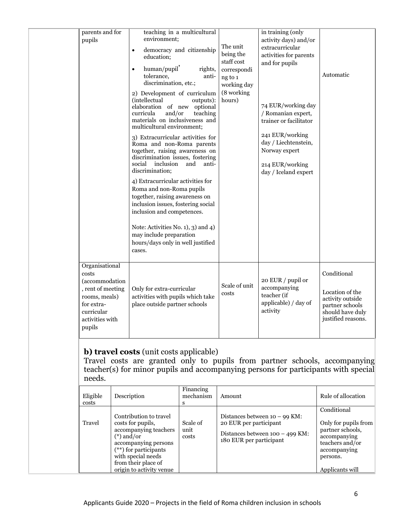| parents and for<br>pupils                                                                                                                | teaching in a multicultural<br>environment;<br>democracy and citizenship<br>$\bullet$<br>education;<br>human/pupil'<br>rights,<br>$\bullet$<br>tolerance,<br>anti-<br>discrimination, etc.;<br>2) Development of curriculum<br>(intellectual<br>outputs):<br>elaboration of new<br>optional<br>and/or<br>curricula<br>teaching<br>materials on inclusiveness and<br>multicultural environment;<br>3) Extracurricular activities for<br>Roma and non-Roma parents<br>together, raising awareness on<br>discrimination issues, fostering<br>social inclusion<br>and<br>anti-<br>discrimination;<br>4) Extracurricular activities for<br>Roma and non-Roma pupils<br>together, raising awareness on<br>inclusion issues, fostering social<br>inclusion and competences.<br>Note: Activities No. 1), 3) and 4)<br>may include preparation<br>hours/days only in well justified<br>cases. | The unit<br>being the<br>staff cost<br>correspondi<br>ng to 1<br>working day<br>(8 working<br>hours) | in training (only<br>activity days) and/or<br>extracurricular<br>activities for parents<br>and for pupils<br>74 EUR/working day<br>/ Romanian expert,<br>trainer or facilitator<br>241 EUR/working<br>day / Liechtenstein,<br>Norway expert<br>214 EUR/working<br>day / Iceland expert | Automatic                                                                                                       |
|------------------------------------------------------------------------------------------------------------------------------------------|--------------------------------------------------------------------------------------------------------------------------------------------------------------------------------------------------------------------------------------------------------------------------------------------------------------------------------------------------------------------------------------------------------------------------------------------------------------------------------------------------------------------------------------------------------------------------------------------------------------------------------------------------------------------------------------------------------------------------------------------------------------------------------------------------------------------------------------------------------------------------------------|------------------------------------------------------------------------------------------------------|----------------------------------------------------------------------------------------------------------------------------------------------------------------------------------------------------------------------------------------------------------------------------------------|-----------------------------------------------------------------------------------------------------------------|
| Organisational<br>costs<br>(accommodation<br>, rent of meeting<br>rooms, meals)<br>for extra-<br>curricular<br>activities with<br>pupils | Only for extra-curricular<br>activities with pupils which take<br>place outside partner schools                                                                                                                                                                                                                                                                                                                                                                                                                                                                                                                                                                                                                                                                                                                                                                                      | Scale of unit<br>costs                                                                               | 20 EUR / pupil or<br>accompanying<br>teacher (if<br>applicable) / day of<br>activity                                                                                                                                                                                                   | Conditional<br>Location of the<br>activity outside<br>partner schools<br>should have duly<br>justified reasons. |

#### **b) travel costs** (unit costs applicable)

Travel costs are granted only to pupils from partner schools, accompanying teacher(s) for minor pupils and accompanying persons for participants with special needs.

| Eligible<br>costs | Description                                                                                                                                                                                                      | Financing<br>mechanism<br>s | Amount                                                                                                                    | Rule of allocation                                                                                                                        |
|-------------------|------------------------------------------------------------------------------------------------------------------------------------------------------------------------------------------------------------------|-----------------------------|---------------------------------------------------------------------------------------------------------------------------|-------------------------------------------------------------------------------------------------------------------------------------------|
| Travel            | Contribution to travel<br>costs for pupils,<br>accompanying teachers<br>$(*)$ and/or<br>accompanying persons<br>$(**)$ for participants<br>with special needs<br>from their place of<br>origin to activity venue | Scale of<br>unit<br>costs   | Distances between $10 - 99$ KM:<br>20 EUR per participant<br>Distances between $100 - 499$ KM:<br>180 EUR per participant | Conditional<br>Only for pupils from<br>partner schools,<br>accompanying<br>teachers and/or<br>accompanying<br>persons.<br>Applicants will |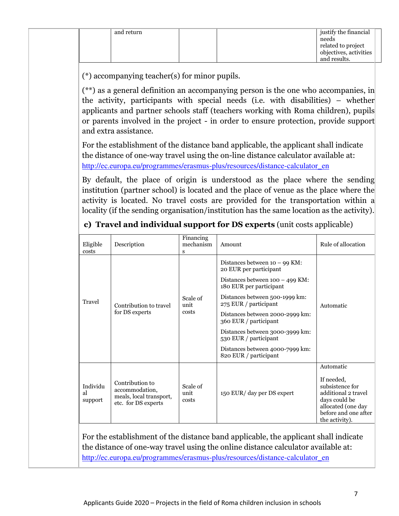| and return |  | justify the financial  |  |
|------------|--|------------------------|--|
|            |  | needs                  |  |
|            |  | related to project     |  |
|            |  | objectives, activities |  |
|            |  | and results.           |  |

(\*) accompanying teacher(s) for minor pupils.

(\*\*) as a general definition an accompanying person is the one who accompanies, in the activity, participants with special needs (i.e. with disabilities) – whether applicants and partner schools staff (teachers working with Roma children), pupils or parents involved in the project - in order to ensure protection, provide support and extra assistance.

For the establishment of the distance band applicable, the applicant shall indicate the distance of one-way travel using the on-line distance calculator available at: [http://ec.europa.eu/programmes/erasmus-plus/resources/distance-calculator\\_en](http://ec.europa.eu/programmes/erasmus-plus/resources/distance-calculator_en)

By default, the place of origin is understood as the place where the sending institution (partner school) is located and the place of venue as the place where the activity is located. No travel costs are provided for the transportation within a locality (if the sending organisation/institution has the same location as the activity).

| Eligible<br>costs                                                                   | Description                                                                         | Financing<br>mechanism<br>S | Amount                                                       | Rule of allocation                                                                                                                    |
|-------------------------------------------------------------------------------------|-------------------------------------------------------------------------------------|-----------------------------|--------------------------------------------------------------|---------------------------------------------------------------------------------------------------------------------------------------|
|                                                                                     |                                                                                     |                             | Distances between $10 - 99$ KM:<br>20 EUR per participant    |                                                                                                                                       |
|                                                                                     |                                                                                     |                             | Distances between $100 - 499$ KM:<br>180 EUR per participant |                                                                                                                                       |
| Travel                                                                              | Contribution to travel                                                              | Scale of<br>unit<br>costs   | Distances between 500-1999 km:<br>275 EUR / participant      | Automatic                                                                                                                             |
|                                                                                     | for DS experts                                                                      |                             | Distances between 2000-2999 km:<br>360 EUR / participant     |                                                                                                                                       |
|                                                                                     |                                                                                     |                             | Distances between 3000-3999 km:<br>530 EUR / participant     |                                                                                                                                       |
|                                                                                     |                                                                                     |                             | Distances between 4000-7999 km:<br>820 EUR / participant     |                                                                                                                                       |
|                                                                                     |                                                                                     |                             |                                                              | Automatic                                                                                                                             |
| Individu<br>al<br>support                                                           | Contribution to<br>accommodation,<br>meals, local transport,<br>etc. for DS experts | Scale of<br>unit<br>costs   | 150 EUR/ day per DS expert                                   | If needed.<br>subsistence for<br>additional 2 travel<br>days could be<br>allocated (one day<br>before and one after<br>the activity). |
| For the establishment of the distance band applicable, the applicant shall indicate |                                                                                     |                             |                                                              |                                                                                                                                       |

# **c) Travel and individual support for DS experts** (unit costs applicable)

e distance band applicable, the appl the distance of one-way travel using the online distance calculator available at: [http://ec.europa.eu/programmes/erasmus-plus/resources/distance-calculator\\_en](http://ec.europa.eu/programmes/erasmus-plus/resources/distance-calculator_en)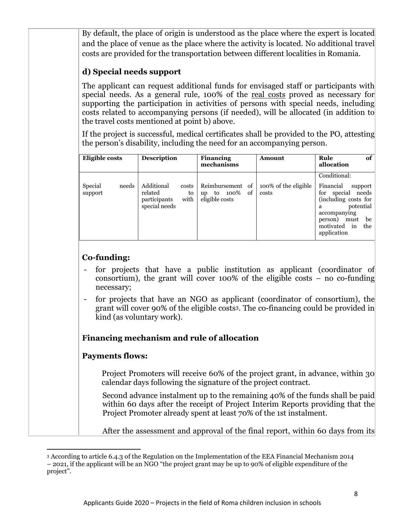By default, the place of origin is understood as the place where the expert is located and the place of venue as the place where the activity is located. No additional travel costs are provided for the transportation between different localities in Romania.

# **d) Special needs support**

The applicant can request additional funds for envisaged staff or participants with special needs. As a general rule, 100% of the real costs proved as necessary for supporting the participation in activities of persons with special needs, including costs related to accompanying persons (if needed), will be allocated (in addition to the travel costs mentioned at point b) above.

If the project is successful, medical certificates shall be provided to the PO, attesting the person's disability, including the need for an accompanying person.

| Eligible costs              | <b>Description</b>                                                      | <b>Financing</b><br>mechanisms                                     | Amount                        | of<br>Rule<br>allocation                                                                                                                                                                         |
|-----------------------------|-------------------------------------------------------------------------|--------------------------------------------------------------------|-------------------------------|--------------------------------------------------------------------------------------------------------------------------------------------------------------------------------------------------|
| Special<br>needs<br>support | Additional<br>costs<br>related<br>with<br>participants<br>special needs | Reimbursement of<br>100%<br>οf<br>to<br>to<br>up<br>eligible costs | 100% of the eligible<br>costs | Conditional:<br>Financial<br>support<br>needs<br>special<br>for<br>(including costs for $\vert$<br>potential<br>я<br>accompanying<br>be<br>must<br>person)<br>motivated in<br>the<br>application |

# **Co-funding:**

- for projects that have a public institution as applicant (coordinator of consortium), the grant will cover 100% of the eligible costs  $-$  no co-funding necessary;
- for projects that have an NGO as applicant (coordinator of consortium), the grant will cover 90% of the eligible costs3. The co-financing could be provided in kind (as voluntary work).

# **Financing mechanism and rule of allocation**

# **Payments flows:**

Project Promoters will receive 60% of the project grant, in advance, within 30 calendar days following the signature of the project contract.

Second advance instalment up to the remaining 40% of the funds shall be paid within 60 days after the receipt of Project Interim Reports providing that the Project Promoter already spent at least 70% of the 1st instalment.

After the assessment and approval of the final report, within 60 days from its

<sup>3</sup> According to article 6.4.3 of the Regulation on the Implementation of the EEA Financial Mechanism 2014 – 2021, if the applicant will be an NGO "the project grant may be up to 90% of eligible expenditure of the project".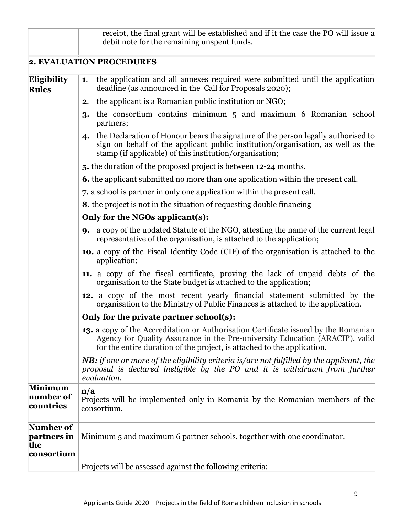|                                               | receipt, the final grant will be established and if it the case the PO will issue a<br>debit note for the remaining unspent funds.                                                                                                                    |
|-----------------------------------------------|-------------------------------------------------------------------------------------------------------------------------------------------------------------------------------------------------------------------------------------------------------|
|                                               | 2. EVALUATION PROCEDURES                                                                                                                                                                                                                              |
| Eligibility<br><b>Rules</b>                   | the application and all annexes required were submitted until the application<br>1.<br>deadline (as announced in the Call for Proposals 2020);                                                                                                        |
|                                               | the applicant is a Romanian public institution or NGO;<br>2.                                                                                                                                                                                          |
|                                               | the consortium contains minimum 5 and maximum 6 Romanian school<br>3.<br>partners;                                                                                                                                                                    |
|                                               | the Declaration of Honour bears the signature of the person legally authorised to<br>$\boldsymbol{4}$<br>sign on behalf of the applicant public institution/organisation, as well as the<br>stamp (if applicable) of this institution/organisation;   |
|                                               | 5. the duration of the proposed project is between 12-24 months.                                                                                                                                                                                      |
|                                               | <b>6.</b> the applicant submitted no more than one application within the present call.                                                                                                                                                               |
|                                               | 7. a school is partner in only one application within the present call.                                                                                                                                                                               |
|                                               | <b>8.</b> the project is not in the situation of requesting double financing                                                                                                                                                                          |
|                                               | Only for the NGOs applicant(s):                                                                                                                                                                                                                       |
|                                               | <b>9.</b> a copy of the updated Statute of the NGO, attesting the name of the current legal<br>representative of the organisation, is attached to the application;                                                                                    |
|                                               | <b>10.</b> a copy of the Fiscal Identity Code (CIF) of the organisation is attached to the<br>application;                                                                                                                                            |
|                                               | 11. a copy of the fiscal certificate, proving the lack of unpaid debts of the<br>organisation to the State budget is attached to the application;                                                                                                     |
|                                               | 12. a copy of the most recent yearly financial statement submitted by the<br>organisation to the Ministry of Public Finances is attached to the application.                                                                                          |
|                                               | Only for the private partner school(s):                                                                                                                                                                                                               |
|                                               | <b>13.</b> a copy of the Accreditation or Authorisation Certificate issued by the Romanian<br>Agency for Quality Assurance in the Pre-university Education (ARACIP), valid<br>for the entire duration of the project, is attached to the application. |
|                                               | <b>NB:</b> if one or more of the eligibility criteria is/are not fulfilled by the applicant, the<br>proposal is declared ineligible by the PO and it is withdrawn from further<br>evaluation.                                                         |
| <b>Minimum</b><br>number of<br>countries      | $\mathbf{n}/\mathbf{a}$<br>Projects will be implemented only in Romania by the Romanian members of the<br>consortium.                                                                                                                                 |
| Number of<br>partners in<br>the<br>consortium | Minimum 5 and maximum 6 partner schools, together with one coordinator.                                                                                                                                                                               |
|                                               | Projects will be assessed against the following criteria:                                                                                                                                                                                             |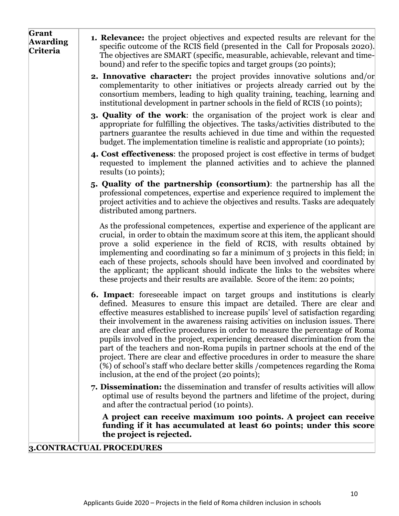| Grant<br><b>Awarding</b><br>Criteria | <b>1. Relevance:</b> the project objectives and expected results are relevant for the<br>specific outcome of the RCIS field (presented in the Call for Proposals 2020).<br>The objectives are SMART (specific, measurable, achievable, relevant and time-<br>bound) and refer to the specific topics and target groups (20 points);                                                                                                                                                                                                                                                                                                                                                                                                                                                                                      |
|--------------------------------------|--------------------------------------------------------------------------------------------------------------------------------------------------------------------------------------------------------------------------------------------------------------------------------------------------------------------------------------------------------------------------------------------------------------------------------------------------------------------------------------------------------------------------------------------------------------------------------------------------------------------------------------------------------------------------------------------------------------------------------------------------------------------------------------------------------------------------|
|                                      | <b>2. Innovative character:</b> the project provides innovative solutions and/or<br>complementarity to other initiatives or projects already carried out by the<br>consortium members, leading to high quality training, teaching, learning and<br>institutional development in partner schools in the field of RCIS (10 points);                                                                                                                                                                                                                                                                                                                                                                                                                                                                                        |
|                                      | <b>3. Quality of the work:</b> the organisation of the project work is clear and<br>appropriate for fulfilling the objectives. The tasks/activities distributed to the<br>partners guarantee the results achieved in due time and within the requested<br>budget. The implementation timeline is realistic and appropriate (10 points);                                                                                                                                                                                                                                                                                                                                                                                                                                                                                  |
|                                      | 4. Cost effectiveness: the proposed project is cost effective in terms of budget<br>requested to implement the planned activities and to achieve the planned<br>results (10 points);                                                                                                                                                                                                                                                                                                                                                                                                                                                                                                                                                                                                                                     |
|                                      | 5. Quality of the partnership (consortium): the partnership has all the<br>professional competences, expertise and experience required to implement the<br>project activities and to achieve the objectives and results. Tasks are adequately<br>distributed among partners.                                                                                                                                                                                                                                                                                                                                                                                                                                                                                                                                             |
|                                      | As the professional competences, expertise and experience of the applicant are<br>crucial, in order to obtain the maximum score at this item, the applicant should<br>prove a solid experience in the field of RCIS, with results obtained by<br>implementing and coordinating so far a minimum of 3 projects in this field; in<br>each of these projects, schools should have been involved and coordinated by<br>the applicant; the applicant should indicate the links to the websites where<br>these projects and their results are available. Score of the item: 20 points;                                                                                                                                                                                                                                         |
|                                      | <b>6. Impact:</b> foreseeable impact on target groups and institutions is clearly<br>defined. Measures to ensure this impact are detailed. There are clear and<br>effective measures established to increase pupils' level of satisfaction regarding<br>their involvement in the awareness raising activities on inclusion issues. There<br>are clear and effective procedures in order to measure the percentage of Roma<br>pupils involved in the project, experiencing decreased discrimination from the<br>part of the teachers and non-Roma pupils in partner schools at the end of the<br>project. There are clear and effective procedures in order to measure the share<br>(%) of school's staff who declare better skills / competences regarding the Roma<br>inclusion, at the end of the project (20 points); |
|                                      | 7. Dissemination: the dissemination and transfer of results activities will allow<br>optimal use of results beyond the partners and lifetime of the project, during<br>and after the contractual period (10 points).                                                                                                                                                                                                                                                                                                                                                                                                                                                                                                                                                                                                     |
|                                      | A project can receive maximum 100 points. A project can receive<br>funding if it has accumulated at least 60 points; under this score<br>the project is rejected.                                                                                                                                                                                                                                                                                                                                                                                                                                                                                                                                                                                                                                                        |
|                                      | 3.CONTRACTUAL PROCEDURES                                                                                                                                                                                                                                                                                                                                                                                                                                                                                                                                                                                                                                                                                                                                                                                                 |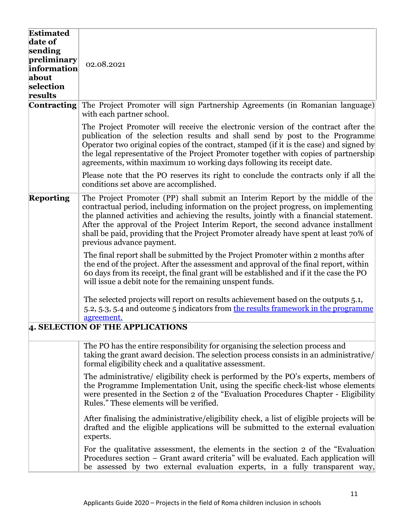| <b>Estimated</b><br>date of<br>sending<br>preliminary<br>information<br>about<br>selection<br>results | 02.08.2021                                                                                                                                                                                                                                                                                                                                                                                                                                                             |  |
|-------------------------------------------------------------------------------------------------------|------------------------------------------------------------------------------------------------------------------------------------------------------------------------------------------------------------------------------------------------------------------------------------------------------------------------------------------------------------------------------------------------------------------------------------------------------------------------|--|
| <b>Contracting</b>                                                                                    | The Project Promoter will sign Partnership Agreements (in Romanian language)<br>with each partner school.                                                                                                                                                                                                                                                                                                                                                              |  |
|                                                                                                       | The Project Promoter will receive the electronic version of the contract after the<br>publication of the selection results and shall send by post to the Programme<br>Operator two original copies of the contract, stamped (if it is the case) and signed by<br>the legal representative of the Project Promoter together with copies of partnership<br>agreements, within maximum 10 working days following its receipt date.                                        |  |
|                                                                                                       | Please note that the PO reserves its right to conclude the contracts only if all the<br>conditions set above are accomplished.                                                                                                                                                                                                                                                                                                                                         |  |
| <b>Reporting</b>                                                                                      | The Project Promoter (PP) shall submit an Interim Report by the middle of the<br>contractual period, including information on the project progress, on implementing<br>the planned activities and achieving the results, jointly with a financial statement.<br>After the approval of the Project Interim Report, the second advance installment<br>shall be paid, providing that the Project Promoter already have spent at least 70% of<br>previous advance payment. |  |
|                                                                                                       | The final report shall be submitted by the Project Promoter within 2 months after<br>the end of the project. After the assessment and approval of the final report, within<br>60 days from its receipt, the final grant will be established and if it the case the PO<br>will issue a debit note for the remaining unspent funds.                                                                                                                                      |  |
|                                                                                                       | The selected projects will report on results achievement based on the outputs 5.1,<br>5.2, 5.3, 5.4 and outcome 5 indicators from the results framework in the programme<br>agreement.                                                                                                                                                                                                                                                                                 |  |
| 4. SELECTION OF THE APPLICATIONS                                                                      |                                                                                                                                                                                                                                                                                                                                                                                                                                                                        |  |
|                                                                                                       | The PO has the entire responsibility for organising the selection process and<br>taking the grant award decision. The selection process consists in an administrative/<br>formal eligibility check and a qualitative assessment.                                                                                                                                                                                                                                       |  |
|                                                                                                       | The administrative/ eligibility check is performed by the PO's experts, members of<br>the Programme Implementation Unit, using the specific check-list whose elements<br>were presented in the Section 2 of the "Evaluation Procedures Chapter - Eligibility<br>Rules." These elements will be verified.                                                                                                                                                               |  |
|                                                                                                       | After finalising the administrative/eligibility check, a list of eligible projects will be<br>drafted and the eligible applications will be submitted to the external evaluation<br>experts.                                                                                                                                                                                                                                                                           |  |
|                                                                                                       | For the qualitative assessment, the elements in the section 2 of the "Evaluation"<br>Procedures section – Grant award criteria" will be evaluated. Each application will<br>be assessed by two external evaluation experts, in a fully transparent way,                                                                                                                                                                                                                |  |